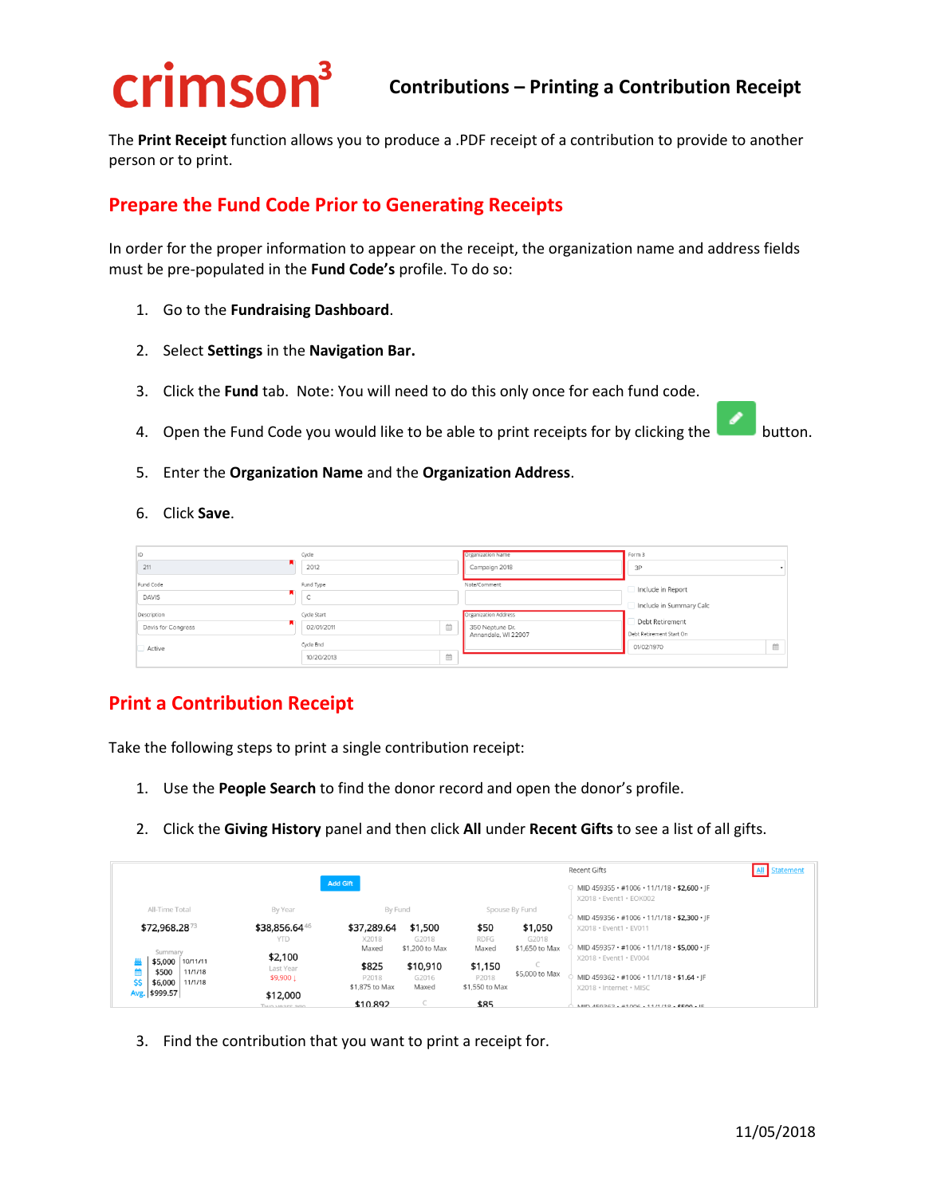## crimson<sup>3</sup>

The **Print Receipt** function allows you to produce a .PDF receipt of a contribution to provide to another person or to print.

## **Prepare the Fund Code Prior to Generating Receipts**

In order for the proper information to appear on the receipt, the organization name and address fields must be pre-populated in the **Fund Code's** profile. To do so:

- 1. Go to the **Fundraising Dashboard**.
- 2. Select **Settings** in the **Navigation Bar.**
- 3. Click the **Fund** tab. Note: You will need to do this only once for each fund code.
- 4. Open the Fund Code you would like to be able to print receipts for by clicking the button.



- 5. Enter the **Organization Name** and the **Organization Address**.
- 6. Click **Save**.

| İD                 | Cycle       |   | Organization Name                      | Form 3                                      |  |  |
|--------------------|-------------|---|----------------------------------------|---------------------------------------------|--|--|
| 211                | 2012        |   | Campaign 2018                          | 3P                                          |  |  |
| Fund Code          | Fund Type   |   | Note/Comment                           | Include in Report                           |  |  |
| <b>DAVIS</b>       |             |   |                                        | Include in Summary Calc                     |  |  |
| Description        | Cycle Start |   | <b>Organization Address</b>            |                                             |  |  |
| Davis for Congress | 02/01/2011  | 倫 | 350 Neptune Dr.<br>Annandale, WI 22907 | Debt Retirement<br>Debt Retirement Start On |  |  |
| Active             | Cycle End   |   |                                        | 曲<br>01/02/1970                             |  |  |
|                    | 10/20/2013  | 曲 |                                        |                                             |  |  |

## **Print a Contribution Receipt**

Take the following steps to print a single contribution receipt:

- 1. Use the **People Search** to find the donor record and open the donor's profile.
- 2. Click the **Giving History** panel and then click **All** under **Recent Gifts** to see a list of all gifts.

|                                             |                        |                |                   |                  |                                                                        | Recent Gifts                                                          | Statement |
|---------------------------------------------|------------------------|----------------|-------------------|------------------|------------------------------------------------------------------------|-----------------------------------------------------------------------|-----------|
| <b>Add Gift</b>                             |                        |                |                   |                  | MID 459355 · #1006 · 11/1/18 · \$2,600 · JF<br>X2018 · Event1 · EOK002 |                                                                       |           |
| All-Time Total                              | By Year                | By Fund        |                   |                  | Spouse By Fund                                                         | MID 459356 · #1006 · 11/1/18 · \$2,300 · JF                           |           |
| \$72,968.2873                               | \$38,856.6446          | \$37,289.64    | \$1,500           | \$50             | \$1,050                                                                | X2018 · Event1 · EV011                                                |           |
|                                             | <b>YTD</b>             | X2018          | G2018             | <b>RDFG</b>      | G2018                                                                  |                                                                       |           |
| Summary<br>\$5,000<br>10/11/11              | \$2,100                | Maxed          | \$1,200 to Max    | Maxed            | \$1,650 to Max                                                         | MID 459357 · #1006 · 11/1/18 · \$5,000 · IF<br>X2018 · Event1 · EV004 |           |
| \$500<br>11/1/18                            | Last Year<br>\$9,900 1 | \$825<br>P2018 | \$10,910<br>G2016 | \$1,150<br>P2018 | \$5,000 to Max                                                         | MID 459362 · #1006 · 11/1/18 · \$1.64 · IF                            |           |
| \$\$<br>\$6,000<br>11/1/18<br>Avg. \$999.57 | \$12,000               | \$1,875 to Max | Maxed             | \$1,550 to Max   |                                                                        | X2018 · Internet · MISC                                               |           |
|                                             | THIO VASES 300         | \$10.892       |                   | \$85             |                                                                        | MID 450262 +41006 + 11/1/10 + COO + IE                                |           |

3. Find the contribution that you want to print a receipt for.